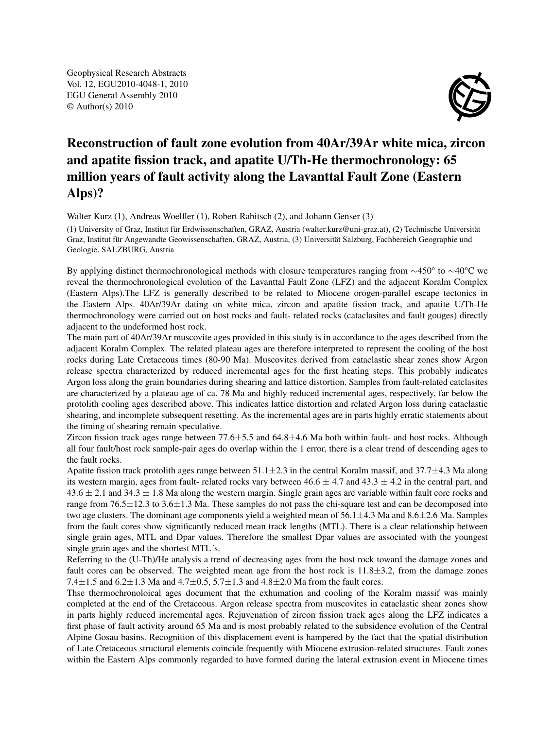Geophysical Research Abstracts Vol. 12, EGU2010-4048-1, 2010 EGU General Assembly 2010 © Author(s) 2010



## Reconstruction of fault zone evolution from 40Ar/39Ar white mica, zircon and apatite fission track, and apatite U/Th-He thermochronology: 65 million years of fault activity along the Lavanttal Fault Zone (Eastern Alps)?

Walter Kurz (1), Andreas Woelfler (1), Robert Rabitsch (2), and Johann Genser (3)

(1) University of Graz, Institut für Erdwissenschaften, GRAZ, Austria (walter.kurz@uni-graz.at), (2) Technische Universität Graz, Institut für Angewandte Geowissenschaften, GRAZ, Austria, (3) Universität Salzburg, Fachbereich Geographie und Geologie, SALZBURG, Austria

By applying distinct thermochronological methods with closure temperatures ranging from ∼450° to ∼40°C we reveal the thermochronological evolution of the Lavanttal Fault Zone (LFZ) and the adjacent Koralm Complex (Eastern Alps).The LFZ is generally described to be related to Miocene orogen-parallel escape tectonics in the Eastern Alps. 40Ar/39Ar dating on white mica, zircon and apatite fission track, and apatite U/Th-He thermochronology were carried out on host rocks and fault- related rocks (cataclasites and fault gouges) directly adjacent to the undeformed host rock.

The main part of 40Ar/39Ar muscovite ages provided in this study is in accordance to the ages described from the adjacent Koralm Complex. The related plateau ages are therefore interpreted to represent the cooling of the host rocks during Late Cretaceous times (80-90 Ma). Muscovites derived from cataclastic shear zones show Argon release spectra characterized by reduced incremental ages for the first heating steps. This probably indicates Argon loss along the grain boundaries during shearing and lattice distortion. Samples from fault-related catclasites are characterized by a plateau age of ca. 78 Ma and highly reduced incremental ages, respectively, far below the protolith cooling ages described above. This indicates lattice distortion and related Argon loss during cataclastic shearing, and incomplete subsequent resetting. As the incremental ages are in parts highly erratic statements about the timing of shearing remain speculative.

Zircon fission track ages range between  $77.6\pm5.5$  and  $64.8\pm4.6$  Ma both within fault- and host rocks. Although all four fault/host rock sample-pair ages do overlap within the 1 error, there is a clear trend of descending ages to the fault rocks.

Apatite fission track protolith ages range between  $51.1 \pm 2.3$  in the central Koralm massif, and  $37.7 \pm 4.3$  Ma along its western margin, ages from fault- related rocks vary between  $46.6 \pm 4.7$  and  $43.3 \pm 4.2$  in the central part, and  $43.6 \pm 2.1$  and  $34.3 \pm 1.8$  Ma along the western margin. Single grain ages are variable within fault core rocks and range from 76.5±12.3 to 3.6±1.3 Ma. These samples do not pass the chi-square test and can be decomposed into two age clusters. The dominant age components yield a weighted mean of  $56.1 \pm 4.3$  Ma and  $8.6 \pm 2.6$  Ma. Samples from the fault cores show significantly reduced mean track lengths (MTL). There is a clear relationship between single grain ages, MTL and Dpar values. Therefore the smallest Dpar values are associated with the youngest single grain ages and the shortest MTL´s.

Referring to the (U-Th)/He analysis a trend of decreasing ages from the host rock toward the damage zones and fault cores can be observed. The weighted mean age from the host rock is  $11.8\pm3.2$ , from the damage zones 7.4 $\pm$ 1.5 and 6.2 $\pm$ 1.3 Ma and 4.7 $\pm$ 0.5, 5.7 $\pm$ 1.3 and 4.8 $\pm$ 2.0 Ma from the fault cores.

Thse thermochronoloical ages document that the exhumation and cooling of the Koralm massif was mainly completed at the end of the Cretaceous. Argon release spectra from muscovites in cataclastic shear zones show in parts highly reduced incremental ages. Rejuvenation of zircon fission track ages along the LFZ indicates a first phase of fault activity around 65 Ma and is most probably related to the subsidence evolution of the Central Alpine Gosau basins. Recognition of this displacement event is hampered by the fact that the spatial distribution of Late Cretaceous structural elements coincide frequently with Miocene extrusion-related structures. Fault zones within the Eastern Alps commonly regarded to have formed during the lateral extrusion event in Miocene times